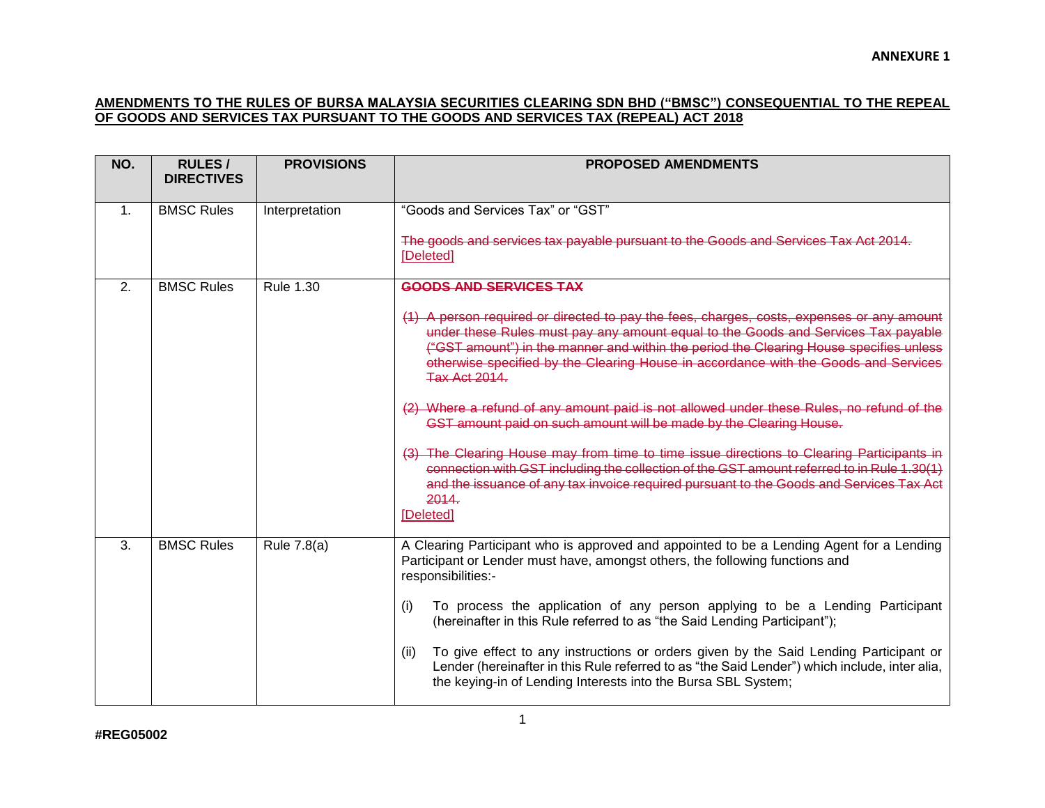## **AMENDMENTS TO THE RULES OF BURSA MALAYSIA SECURITIES CLEARING SDN BHD ("BMSC") CONSEQUENTIAL TO THE REPEAL OF GOODS AND SERVICES TAX PURSUANT TO THE GOODS AND SERVICES TAX (REPEAL) ACT 2018**

| NO.            | <b>RULES/</b><br><b>DIRECTIVES</b> | <b>PROVISIONS</b> | <b>PROPOSED AMENDMENTS</b>                                                                                                                                                                                                                                                                                                                                                                                                                                                                                                                                                                                                                                                                                                                                                                                                                                                                            |
|----------------|------------------------------------|-------------------|-------------------------------------------------------------------------------------------------------------------------------------------------------------------------------------------------------------------------------------------------------------------------------------------------------------------------------------------------------------------------------------------------------------------------------------------------------------------------------------------------------------------------------------------------------------------------------------------------------------------------------------------------------------------------------------------------------------------------------------------------------------------------------------------------------------------------------------------------------------------------------------------------------|
| $\mathbf{1}$ . | <b>BMSC Rules</b>                  | Interpretation    | "Goods and Services Tax" or "GST"<br>The goods and services tax payable pursuant to the Goods and Services Tax Act 2014.<br>[Deleted]                                                                                                                                                                                                                                                                                                                                                                                                                                                                                                                                                                                                                                                                                                                                                                 |
| 2.             | <b>BMSC Rules</b>                  | <b>Rule 1.30</b>  | <b>GOODS AND SERVICES TAX</b><br>(1) A person required or directed to pay the fees, charges, costs, expenses or any amount<br>under these Rules must pay any amount equal to the Goods and Services Tax payable<br>("GST amount") in the manner and within the period the Clearing House specifies unless<br>otherwise specified by the Clearing House in accordance with the Goods and Services<br><b>Tax Act 2014.</b><br>(2) Where a refund of any amount paid is not allowed under these Rules, no refund of the<br>GST amount paid on such amount will be made by the Clearing House.<br>(3) The Clearing House may from time to time issue directions to Clearing Participants in<br>connection with GST including the collection of the GST amount referred to in Rule 1.30(1)<br>and the issuance of any tax invoice required pursuant to the Goods and Services Tax Act<br>2014<br>[Deleted] |
| 3.             | <b>BMSC Rules</b>                  | Rule 7.8(a)       | A Clearing Participant who is approved and appointed to be a Lending Agent for a Lending<br>Participant or Lender must have, amongst others, the following functions and<br>responsibilities:-<br>To process the application of any person applying to be a Lending Participant<br>(i)<br>(hereinafter in this Rule referred to as "the Said Lending Participant");<br>To give effect to any instructions or orders given by the Said Lending Participant or<br>(ii)<br>Lender (hereinafter in this Rule referred to as "the Said Lender") which include, inter alia,<br>the keying-in of Lending Interests into the Bursa SBL System;                                                                                                                                                                                                                                                                |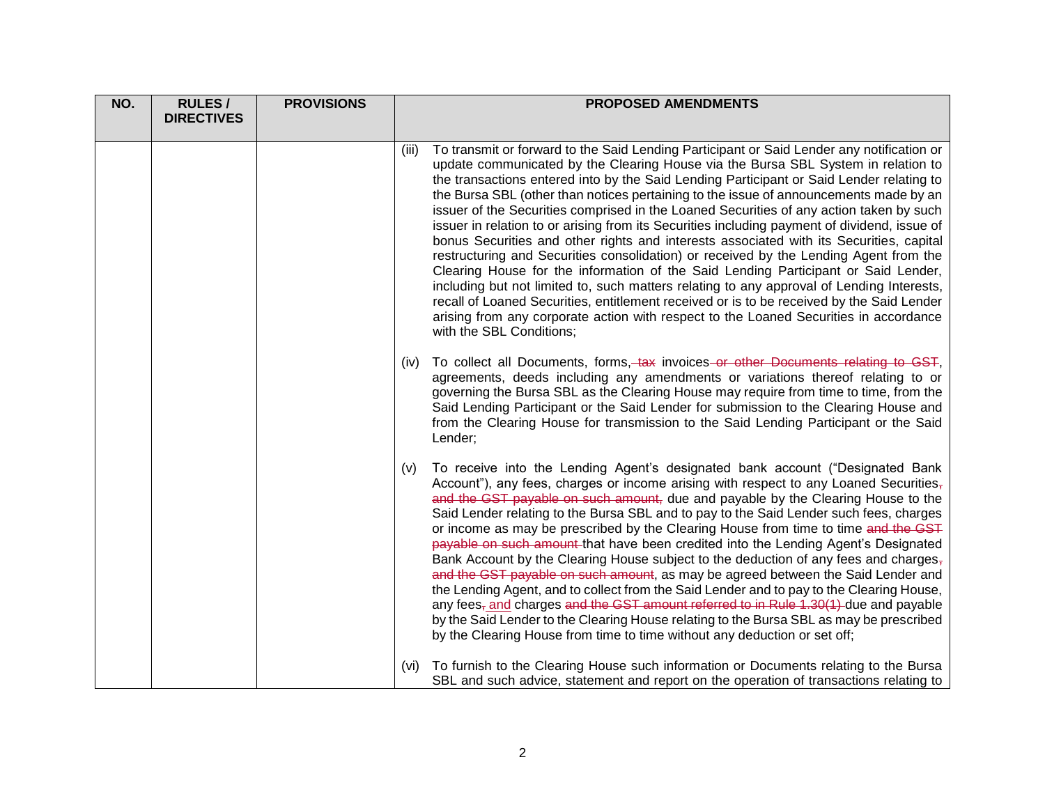| NO. | <b>RULES/</b>     | <b>PROVISIONS</b> | <b>PROPOSED AMENDMENTS</b>                                                                                                                                                                                                                                                                                                                                                                                                                                                                                                                                                                                                                                                                                                                                                                                                                                                                                                                                                                                                                                                                                                                                       |
|-----|-------------------|-------------------|------------------------------------------------------------------------------------------------------------------------------------------------------------------------------------------------------------------------------------------------------------------------------------------------------------------------------------------------------------------------------------------------------------------------------------------------------------------------------------------------------------------------------------------------------------------------------------------------------------------------------------------------------------------------------------------------------------------------------------------------------------------------------------------------------------------------------------------------------------------------------------------------------------------------------------------------------------------------------------------------------------------------------------------------------------------------------------------------------------------------------------------------------------------|
|     | <b>DIRECTIVES</b> |                   |                                                                                                                                                                                                                                                                                                                                                                                                                                                                                                                                                                                                                                                                                                                                                                                                                                                                                                                                                                                                                                                                                                                                                                  |
|     |                   |                   | To transmit or forward to the Said Lending Participant or Said Lender any notification or<br>(iii)<br>update communicated by the Clearing House via the Bursa SBL System in relation to<br>the transactions entered into by the Said Lending Participant or Said Lender relating to<br>the Bursa SBL (other than notices pertaining to the issue of announcements made by an<br>issuer of the Securities comprised in the Loaned Securities of any action taken by such<br>issuer in relation to or arising from its Securities including payment of dividend, issue of<br>bonus Securities and other rights and interests associated with its Securities, capital<br>restructuring and Securities consolidation) or received by the Lending Agent from the<br>Clearing House for the information of the Said Lending Participant or Said Lender,<br>including but not limited to, such matters relating to any approval of Lending Interests,<br>recall of Loaned Securities, entitlement received or is to be received by the Said Lender<br>arising from any corporate action with respect to the Loaned Securities in accordance<br>with the SBL Conditions; |
|     |                   |                   | (iv) To collect all Documents, forms, tax invoices or other Documents relating to GST,<br>agreements, deeds including any amendments or variations thereof relating to or<br>governing the Bursa SBL as the Clearing House may require from time to time, from the<br>Said Lending Participant or the Said Lender for submission to the Clearing House and<br>from the Clearing House for transmission to the Said Lending Participant or the Said<br>Lender;                                                                                                                                                                                                                                                                                                                                                                                                                                                                                                                                                                                                                                                                                                    |
|     |                   |                   | To receive into the Lending Agent's designated bank account ("Designated Bank<br>(v)<br>Account"), any fees, charges or income arising with respect to any Loaned Securities,<br>and the GST payable on such amount, due and payable by the Clearing House to the<br>Said Lender relating to the Bursa SBL and to pay to the Said Lender such fees, charges<br>or income as may be prescribed by the Clearing House from time to time and the GST<br>payable on such amount that have been credited into the Lending Agent's Designated<br>Bank Account by the Clearing House subject to the deduction of any fees and charges $_7$<br>and the GST payable on such amount, as may be agreed between the Said Lender and<br>the Lending Agent, and to collect from the Said Lender and to pay to the Clearing House,<br>any fees-and charges and the GST amount referred to in Rule 1.30(1) due and payable<br>by the Said Lender to the Clearing House relating to the Bursa SBL as may be prescribed<br>by the Clearing House from time to time without any deduction or set off;                                                                               |
|     |                   |                   | To furnish to the Clearing House such information or Documents relating to the Bursa<br>(Vi)<br>SBL and such advice, statement and report on the operation of transactions relating to                                                                                                                                                                                                                                                                                                                                                                                                                                                                                                                                                                                                                                                                                                                                                                                                                                                                                                                                                                           |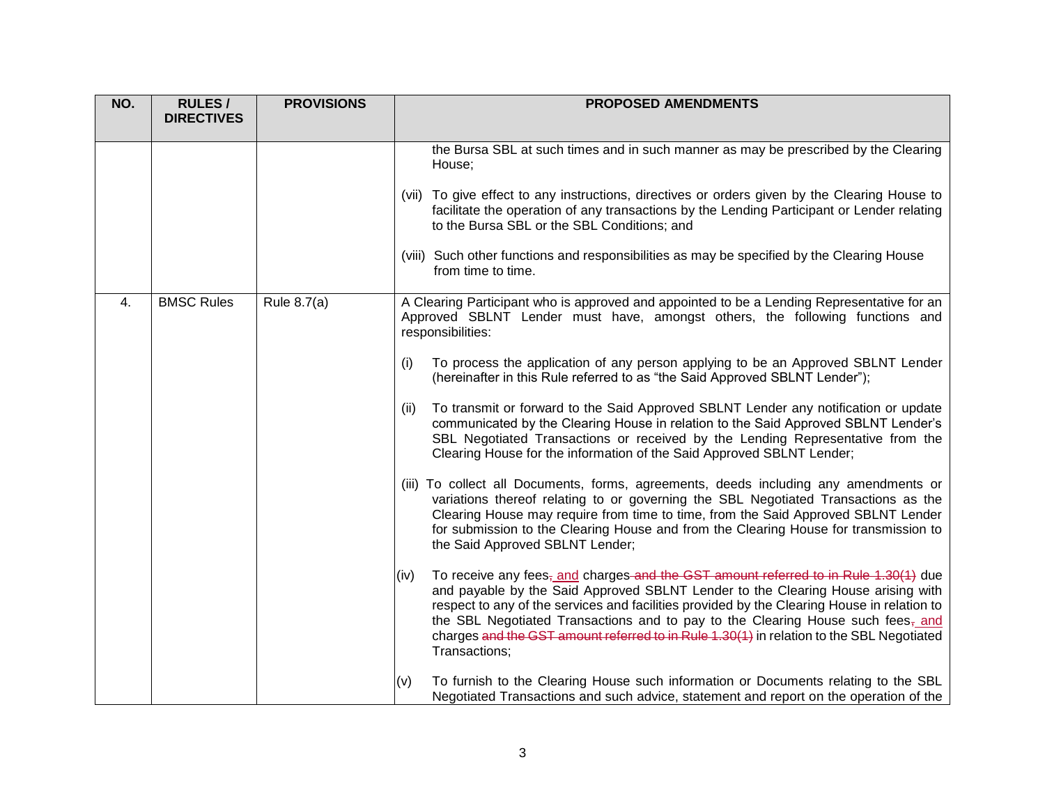| NO. | <b>RULES/</b><br><b>DIRECTIVES</b> | <b>PROVISIONS</b> | <b>PROPOSED AMENDMENTS</b>                                                                                                                                                                                                                                                                                                                                                                                                                                                                             |
|-----|------------------------------------|-------------------|--------------------------------------------------------------------------------------------------------------------------------------------------------------------------------------------------------------------------------------------------------------------------------------------------------------------------------------------------------------------------------------------------------------------------------------------------------------------------------------------------------|
|     |                                    |                   | the Bursa SBL at such times and in such manner as may be prescribed by the Clearing<br>House;                                                                                                                                                                                                                                                                                                                                                                                                          |
|     |                                    |                   | (vii) To give effect to any instructions, directives or orders given by the Clearing House to<br>facilitate the operation of any transactions by the Lending Participant or Lender relating<br>to the Bursa SBL or the SBL Conditions; and                                                                                                                                                                                                                                                             |
|     |                                    |                   | (viii) Such other functions and responsibilities as may be specified by the Clearing House<br>from time to time.                                                                                                                                                                                                                                                                                                                                                                                       |
| 4.  | <b>BMSC Rules</b>                  | Rule 8.7(a)       | A Clearing Participant who is approved and appointed to be a Lending Representative for an<br>Approved SBLNT Lender must have, amongst others, the following functions and<br>responsibilities:                                                                                                                                                                                                                                                                                                        |
|     |                                    |                   | To process the application of any person applying to be an Approved SBLNT Lender<br>(i)<br>(hereinafter in this Rule referred to as "the Said Approved SBLNT Lender");                                                                                                                                                                                                                                                                                                                                 |
|     |                                    |                   | To transmit or forward to the Said Approved SBLNT Lender any notification or update<br>(ii)<br>communicated by the Clearing House in relation to the Said Approved SBLNT Lender's<br>SBL Negotiated Transactions or received by the Lending Representative from the<br>Clearing House for the information of the Said Approved SBLNT Lender;                                                                                                                                                           |
|     |                                    |                   | (iii) To collect all Documents, forms, agreements, deeds including any amendments or<br>variations thereof relating to or governing the SBL Negotiated Transactions as the<br>Clearing House may require from time to time, from the Said Approved SBLNT Lender<br>for submission to the Clearing House and from the Clearing House for transmission to<br>the Said Approved SBLNT Lender;                                                                                                             |
|     |                                    |                   | To receive any fees <sub>7</sub> and charges-and the GST amount referred to in Rule 1.30(1) due<br>(iv)<br>and payable by the Said Approved SBLNT Lender to the Clearing House arising with<br>respect to any of the services and facilities provided by the Clearing House in relation to<br>the SBL Negotiated Transactions and to pay to the Clearing House such fees <sub>7</sub> and<br>charges and the GST amount referred to in Rule 1.30(1) in relation to the SBL Negotiated<br>Transactions; |
|     |                                    |                   | To furnish to the Clearing House such information or Documents relating to the SBL<br>(v)<br>Negotiated Transactions and such advice, statement and report on the operation of the                                                                                                                                                                                                                                                                                                                     |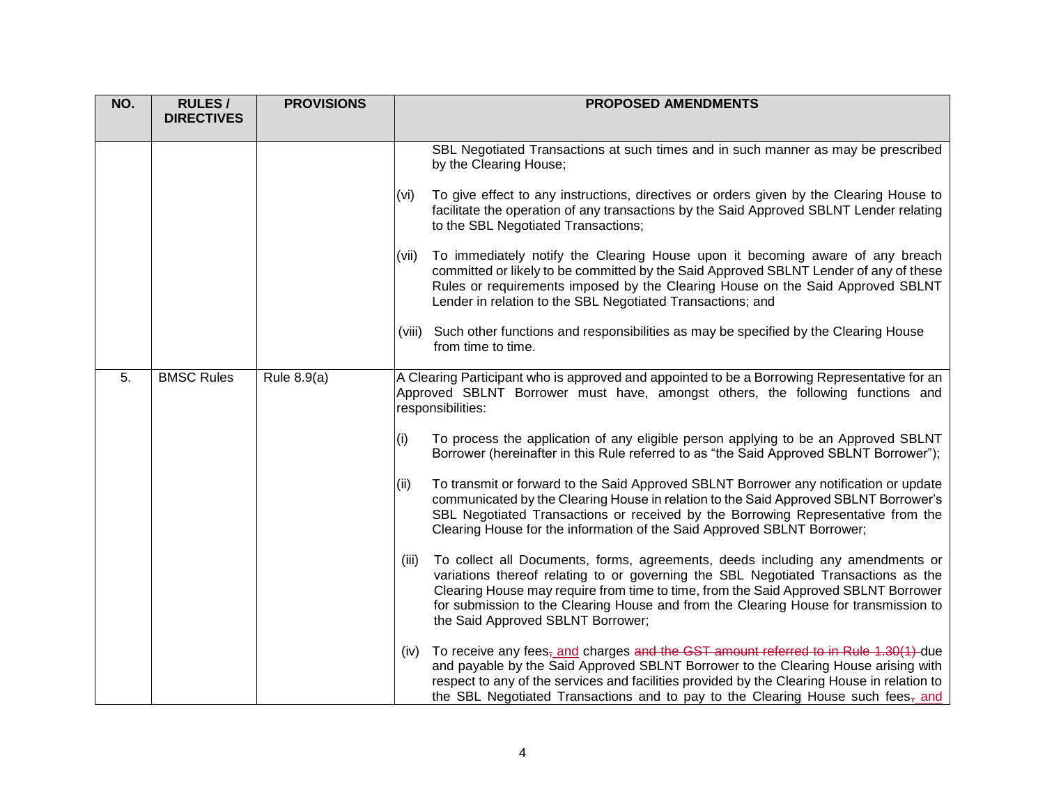| NO. | <b>RULES/</b><br><b>DIRECTIVES</b> | <b>PROVISIONS</b> | <b>PROPOSED AMENDMENTS</b>                                                                                                                                                                                                                                                                                                                                                                        |
|-----|------------------------------------|-------------------|---------------------------------------------------------------------------------------------------------------------------------------------------------------------------------------------------------------------------------------------------------------------------------------------------------------------------------------------------------------------------------------------------|
|     |                                    |                   | SBL Negotiated Transactions at such times and in such manner as may be prescribed<br>by the Clearing House;                                                                                                                                                                                                                                                                                       |
|     |                                    |                   | To give effect to any instructions, directives or orders given by the Clearing House to<br>(vi)<br>facilitate the operation of any transactions by the Said Approved SBLNT Lender relating<br>to the SBL Negotiated Transactions;                                                                                                                                                                 |
|     |                                    |                   | To immediately notify the Clearing House upon it becoming aware of any breach<br>(vii)<br>committed or likely to be committed by the Said Approved SBLNT Lender of any of these<br>Rules or requirements imposed by the Clearing House on the Said Approved SBLNT<br>Lender in relation to the SBL Negotiated Transactions; and                                                                   |
|     |                                    |                   | (viii) Such other functions and responsibilities as may be specified by the Clearing House<br>from time to time.                                                                                                                                                                                                                                                                                  |
| 5.  | <b>BMSC Rules</b>                  | Rule 8.9(a)       | A Clearing Participant who is approved and appointed to be a Borrowing Representative for an<br>Approved SBLNT Borrower must have, amongst others, the following functions and<br>responsibilities:                                                                                                                                                                                               |
|     |                                    |                   | To process the application of any eligible person applying to be an Approved SBLNT<br>(i)<br>Borrower (hereinafter in this Rule referred to as "the Said Approved SBLNT Borrower");                                                                                                                                                                                                               |
|     |                                    |                   | To transmit or forward to the Said Approved SBLNT Borrower any notification or update<br>(ii)<br>communicated by the Clearing House in relation to the Said Approved SBLNT Borrower's<br>SBL Negotiated Transactions or received by the Borrowing Representative from the<br>Clearing House for the information of the Said Approved SBLNT Borrower;                                              |
|     |                                    |                   | To collect all Documents, forms, agreements, deeds including any amendments or<br>(iii)<br>variations thereof relating to or governing the SBL Negotiated Transactions as the<br>Clearing House may require from time to time, from the Said Approved SBLNT Borrower<br>for submission to the Clearing House and from the Clearing House for transmission to<br>the Said Approved SBLNT Borrower; |
|     |                                    |                   | (iv) To receive any fees, and charges and the GST amount referred to in Rule 1.30(1) due<br>and payable by the Said Approved SBLNT Borrower to the Clearing House arising with<br>respect to any of the services and facilities provided by the Clearing House in relation to<br>the SBL Negotiated Transactions and to pay to the Clearing House such fees <sub>7</sub> and                      |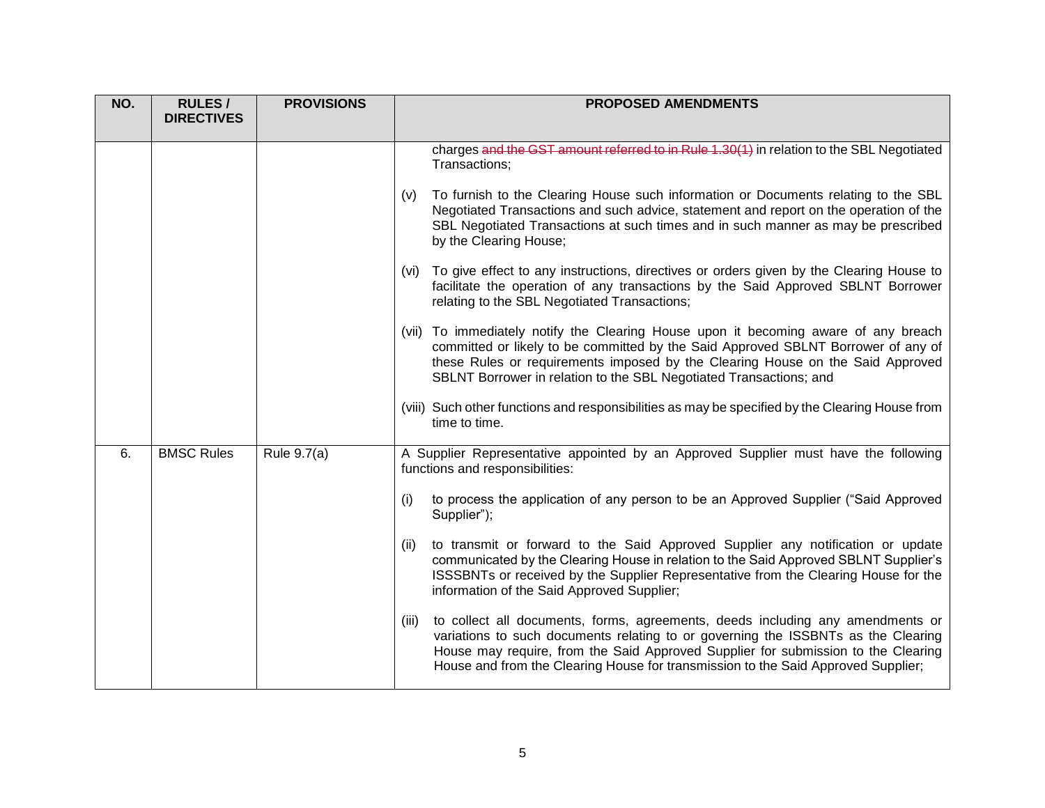| NO. | <b>RULES/</b>     | <b>PROVISIONS</b> | <b>PROPOSED AMENDMENTS</b>                                                                                                                                                                                                                                                                                                                             |
|-----|-------------------|-------------------|--------------------------------------------------------------------------------------------------------------------------------------------------------------------------------------------------------------------------------------------------------------------------------------------------------------------------------------------------------|
|     | <b>DIRECTIVES</b> |                   |                                                                                                                                                                                                                                                                                                                                                        |
|     |                   |                   | charges and the GST amount referred to in Rule 1.30(1) in relation to the SBL Negotiated<br>Transactions;                                                                                                                                                                                                                                              |
|     |                   |                   | To furnish to the Clearing House such information or Documents relating to the SBL<br>(v)<br>Negotiated Transactions and such advice, statement and report on the operation of the<br>SBL Negotiated Transactions at such times and in such manner as may be prescribed<br>by the Clearing House;                                                      |
|     |                   |                   | (vi) To give effect to any instructions, directives or orders given by the Clearing House to<br>facilitate the operation of any transactions by the Said Approved SBLNT Borrower<br>relating to the SBL Negotiated Transactions;                                                                                                                       |
|     |                   |                   | (vii) To immediately notify the Clearing House upon it becoming aware of any breach<br>committed or likely to be committed by the Said Approved SBLNT Borrower of any of<br>these Rules or requirements imposed by the Clearing House on the Said Approved<br>SBLNT Borrower in relation to the SBL Negotiated Transactions; and                       |
|     |                   |                   | (viii) Such other functions and responsibilities as may be specified by the Clearing House from<br>time to time.                                                                                                                                                                                                                                       |
| 6.  | <b>BMSC Rules</b> | Rule 9.7(a)       | A Supplier Representative appointed by an Approved Supplier must have the following<br>functions and responsibilities:                                                                                                                                                                                                                                 |
|     |                   |                   | to process the application of any person to be an Approved Supplier ("Said Approved<br>(i)<br>Supplier");                                                                                                                                                                                                                                              |
|     |                   |                   | to transmit or forward to the Said Approved Supplier any notification or update<br>(ii)<br>communicated by the Clearing House in relation to the Said Approved SBLNT Supplier's<br>ISSSBNTs or received by the Supplier Representative from the Clearing House for the<br>information of the Said Approved Supplier;                                   |
|     |                   |                   | to collect all documents, forms, agreements, deeds including any amendments or<br>(iii)<br>variations to such documents relating to or governing the ISSBNTs as the Clearing<br>House may require, from the Said Approved Supplier for submission to the Clearing<br>House and from the Clearing House for transmission to the Said Approved Supplier; |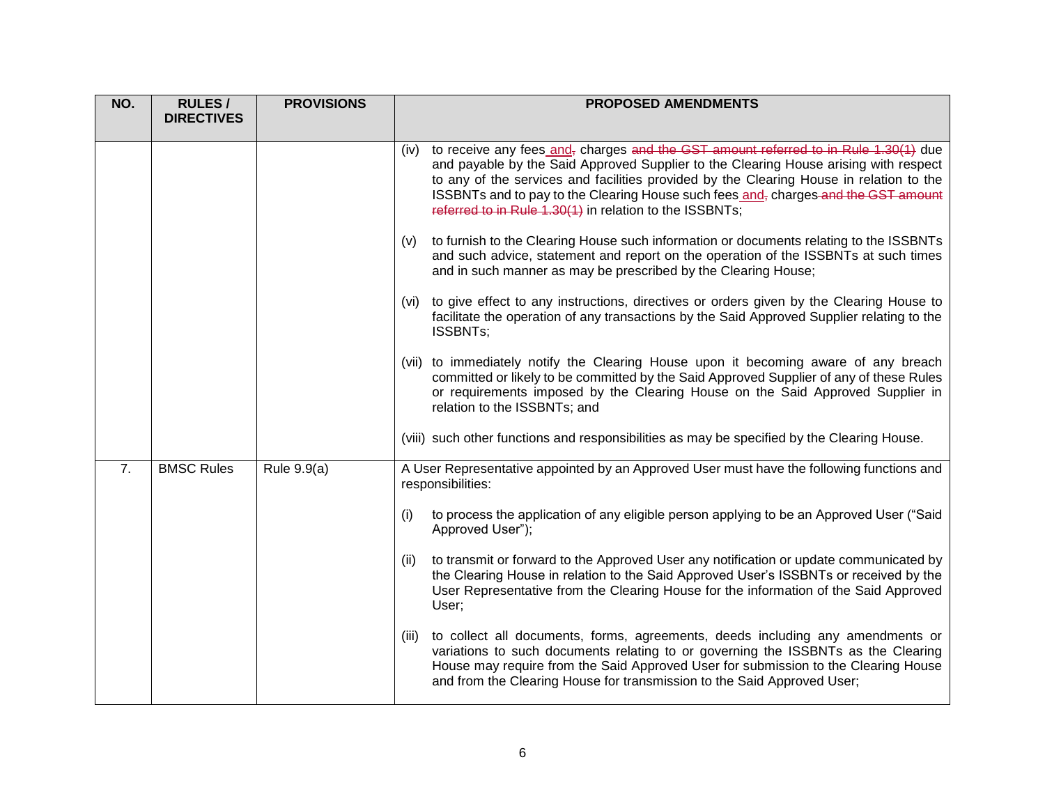| NO. | <b>RULES/</b><br><b>DIRECTIVES</b> | <b>PROVISIONS</b> | <b>PROPOSED AMENDMENTS</b>                                                                                                                                                                                                                                                                                                                                                                                                                           |
|-----|------------------------------------|-------------------|------------------------------------------------------------------------------------------------------------------------------------------------------------------------------------------------------------------------------------------------------------------------------------------------------------------------------------------------------------------------------------------------------------------------------------------------------|
|     |                                    |                   | (iv) to receive any fees_and <sub>7</sub> charges and the GST amount referred to in Rule 1.30(1) due<br>and payable by the Said Approved Supplier to the Clearing House arising with respect<br>to any of the services and facilities provided by the Clearing House in relation to the<br>ISSBNTs and to pay to the Clearing House such fees and <sub>r</sub> charges and the GST amount<br>referred to in Rule 1.30(1) in relation to the ISSBNTs; |
|     |                                    |                   | to furnish to the Clearing House such information or documents relating to the ISSBNTs<br>(v)<br>and such advice, statement and report on the operation of the ISSBNTs at such times<br>and in such manner as may be prescribed by the Clearing House;                                                                                                                                                                                               |
|     |                                    |                   | (vi) to give effect to any instructions, directives or orders given by the Clearing House to<br>facilitate the operation of any transactions by the Said Approved Supplier relating to the<br>ISSBNTs;                                                                                                                                                                                                                                               |
|     |                                    |                   | (vii) to immediately notify the Clearing House upon it becoming aware of any breach<br>committed or likely to be committed by the Said Approved Supplier of any of these Rules<br>or requirements imposed by the Clearing House on the Said Approved Supplier in<br>relation to the ISSBNTs; and                                                                                                                                                     |
|     |                                    |                   | (viii) such other functions and responsibilities as may be specified by the Clearing House.                                                                                                                                                                                                                                                                                                                                                          |
| 7.  | <b>BMSC Rules</b>                  | Rule 9.9(a)       | A User Representative appointed by an Approved User must have the following functions and<br>responsibilities:                                                                                                                                                                                                                                                                                                                                       |
|     |                                    |                   | to process the application of any eligible person applying to be an Approved User ("Said<br>(i)<br>Approved User");                                                                                                                                                                                                                                                                                                                                  |
|     |                                    |                   | to transmit or forward to the Approved User any notification or update communicated by<br>(ii)<br>the Clearing House in relation to the Said Approved User's ISSBNTs or received by the<br>User Representative from the Clearing House for the information of the Said Approved<br>User;                                                                                                                                                             |
|     |                                    |                   | (iii) to collect all documents, forms, agreements, deeds including any amendments or<br>variations to such documents relating to or governing the ISSBNTs as the Clearing<br>House may require from the Said Approved User for submission to the Clearing House<br>and from the Clearing House for transmission to the Said Approved User;                                                                                                           |